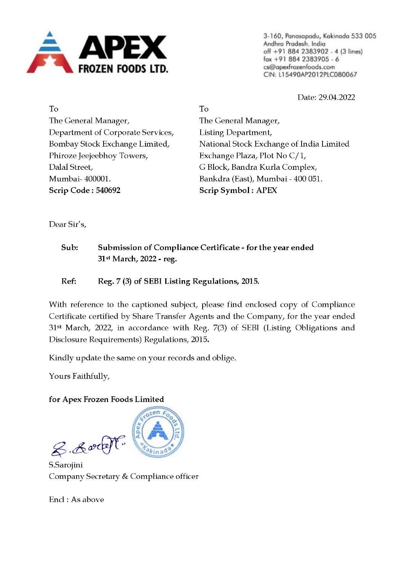

3-160, Panasapadu, Kakinada 533 005 Andhra Pradesh. India off +91 884 2383902 - 4 (3 lines) fax +91 884 2383905 -6 cs@apexfrozenfoods.com CIN: L15490AP201 2PLC080067

Date: 29.04.2022

To The General Manager, Department of Corporate Services, Bombay Stock Exchange Limited, Phiroze Jeejeebhoy Towers, Dalal Street, Mumbai- 400001. Scrip Code : 540692

To The General Manager, Listing Department, National Stock Exchange of India Limited Exchange Plaza, Plot No C/1, G Block, Bandra Kurla Complex, Bankdra (East), Mumbai - 400 051. Scrip Symbol: APEX

Dear Sir's,

- Sub: Submission of Compliance Certificate for the year ended 31st March, 2022 - reg.
- Ref: Reg. 7 (3) of SEBI Listing Regulations, 2015.

With reference to the captioned subject, please find enclosed copy of Compliance Certificate certified by Share Transfer Agents and the Company, for the year ended  $31$ <sup>st</sup> March, 2022, in accordance with Reg. 7(3) of SEBI (Listing Obligations and Disclosure Requirements) Regulations, 2015.

Kindly update the same on your records and oblige.

Yours Faithfully,

## for Apex Frozen Foods Limited

8. Lock

S.Sarojini Company Secretary & Compliance officer

Encl : As above